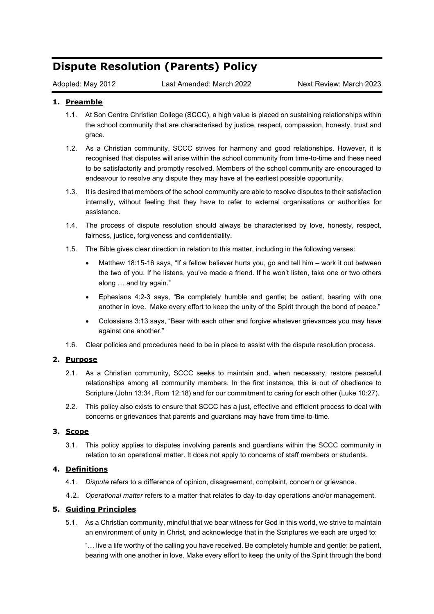# **Dispute Resolution (Parents) Policy**

Adopted: May 2012 Last Amended: March 2022 Next Review: March 2023

### **1. Preamble**

- 1.1. At Son Centre Christian College (SCCC), a high value is placed on sustaining relationships within the school community that are characterised by justice, respect, compassion, honesty, trust and grace.
- 1.2. As a Christian community, SCCC strives for harmony and good relationships. However, it is recognised that disputes will arise within the school community from time-to-time and these need to be satisfactorily and promptly resolved. Members of the school community are encouraged to endeavour to resolve any dispute they may have at the earliest possible opportunity.
- 1.3. It is desired that members of the school community are able to resolve disputes to their satisfaction internally, without feeling that they have to refer to external organisations or authorities for assistance.
- 1.4. The process of dispute resolution should always be characterised by love, honesty, respect, fairness, justice, forgiveness and confidentiality.
- 1.5. The Bible gives clear direction in relation to this matter, including in the following verses:
	- Matthew 18:15-16 says, "If a fellow believer hurts you, go and tell him work it out between the two of you. If he listens, you've made a friend. If he won't listen, take one or two others along … and try again."
	- Ephesians 4:2-3 says, "Be completely humble and gentle; be patient, bearing with one another in love. Make every effort to keep the unity of the Spirit through the bond of peace."
	- Colossians 3:13 says, "Bear with each other and forgive whatever grievances you may have against one another."
- 1.6. Clear policies and procedures need to be in place to assist with the dispute resolution process.

#### **2. Purpose**

- 2.1. As a Christian community, SCCC seeks to maintain and, when necessary, restore peaceful relationships among all community members. In the first instance, this is out of obedience to Scripture (John 13:34, Rom 12:18) and for our commitment to caring for each other (Luke 10:27).
- 2.2. This policy also exists to ensure that SCCC has a just, effective and efficient process to deal with concerns or grievances that parents and guardians may have from time-to-time.

#### **3. Scope**

3.1. This policy applies to disputes involving parents and guardians within the SCCC community in relation to an operational matter. It does not apply to concerns of staff members or students.

#### **4. Definitions**

- 4.1. *Dispute* refers to a difference of opinion, disagreement, complaint, concern or grievance.
- 4.2. *Operational matter* refers to a matter that relates to day-to-day operations and/or management.

#### **5. Guiding Principles**

5.1. As a Christian community, mindful that we bear witness for God in this world, we strive to maintain an environment of unity in Christ, and acknowledge that in the Scriptures we each are urged to:

"… live a life worthy of the calling you have received. Be completely humble and gentle; be patient, bearing with one another in love. Make every effort to keep the unity of the Spirit through the bond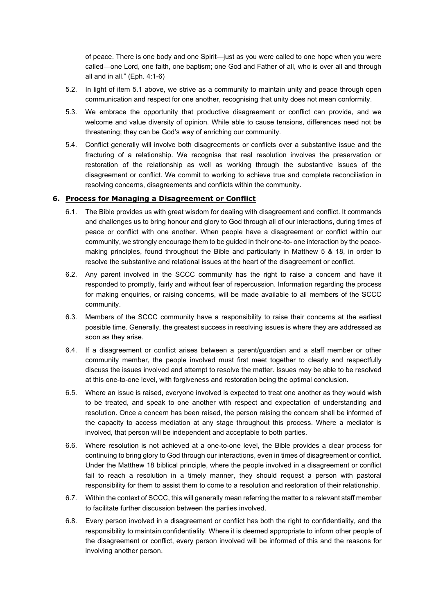of peace. There is one body and one Spirit—just as you were called to one hope when you were called—one Lord, one faith, one baptism; one God and Father of all, who is over all and through all and in all." (Eph. 4:1-6)

- 5.2. In light of item 5.1 above, we strive as a community to maintain unity and peace through open communication and respect for one another, recognising that unity does not mean conformity.
- 5.3. We embrace the opportunity that productive disagreement or conflict can provide, and we welcome and value diversity of opinion. While able to cause tensions, differences need not be threatening; they can be God's way of enriching our community.
- 5.4. Conflict generally will involve both disagreements or conflicts over a substantive issue and the fracturing of a relationship. We recognise that real resolution involves the preservation or restoration of the relationship as well as working through the substantive issues of the disagreement or conflict. We commit to working to achieve true and complete reconciliation in resolving concerns, disagreements and conflicts within the community.

#### **6. Process for Managing a Disagreement or Conflict**

- 6.1. The Bible provides us with great wisdom for dealing with disagreement and conflict. It commands and challenges us to bring honour and glory to God through all of our interactions, during times of peace or conflict with one another. When people have a disagreement or conflict within our community, we strongly encourage them to be guided in their one-to- one interaction by the peacemaking principles, found throughout the Bible and particularly in Matthew 5 & 18, in order to resolve the substantive and relational issues at the heart of the disagreement or conflict.
- 6.2. Any parent involved in the SCCC community has the right to raise a concern and have it responded to promptly, fairly and without fear of repercussion. Information regarding the process for making enquiries, or raising concerns, will be made available to all members of the SCCC community.
- 6.3. Members of the SCCC community have a responsibility to raise their concerns at the earliest possible time. Generally, the greatest success in resolving issues is where they are addressed as soon as they arise.
- 6.4. If a disagreement or conflict arises between a parent/guardian and a staff member or other community member, the people involved must first meet together to clearly and respectfully discuss the issues involved and attempt to resolve the matter. Issues may be able to be resolved at this one-to-one level, with forgiveness and restoration being the optimal conclusion.
- 6.5. Where an issue is raised, everyone involved is expected to treat one another as they would wish to be treated, and speak to one another with respect and expectation of understanding and resolution. Once a concern has been raised, the person raising the concern shall be informed of the capacity to access mediation at any stage throughout this process. Where a mediator is involved, that person will be independent and acceptable to both parties.
- 6.6. Where resolution is not achieved at a one-to-one level, the Bible provides a clear process for continuing to bring glory to God through our interactions, even in times of disagreement or conflict. Under the Matthew 18 biblical principle, where the people involved in a disagreement or conflict fail to reach a resolution in a timely manner, they should request a person with pastoral responsibility for them to assist them to come to a resolution and restoration of their relationship.
- 6.7. Within the context of SCCC, this will generally mean referring the matter to a relevant staff member to facilitate further discussion between the parties involved.
- 6.8. Every person involved in a disagreement or conflict has both the right to confidentiality, and the responsibility to maintain confidentiality. Where it is deemed appropriate to inform other people of the disagreement or conflict, every person involved will be informed of this and the reasons for involving another person.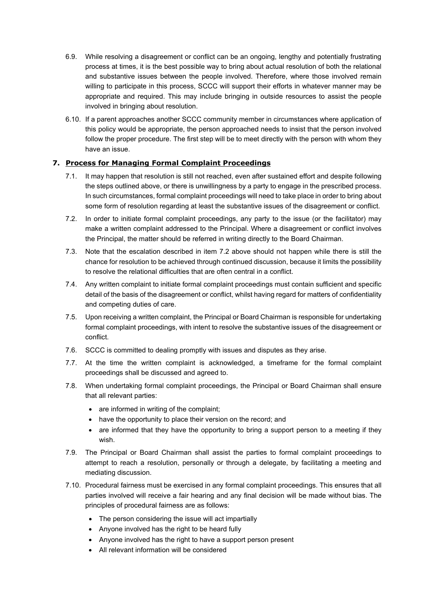- 6.9. While resolving a disagreement or conflict can be an ongoing, lengthy and potentially frustrating process at times, it is the best possible way to bring about actual resolution of both the relational and substantive issues between the people involved. Therefore, where those involved remain willing to participate in this process, SCCC will support their efforts in whatever manner may be appropriate and required. This may include bringing in outside resources to assist the people involved in bringing about resolution.
- 6.10. If a parent approaches another SCCC community member in circumstances where application of this policy would be appropriate, the person approached needs to insist that the person involved follow the proper procedure. The first step will be to meet directly with the person with whom they have an issue.

## **7. Process for Managing Formal Complaint Proceedings**

- 7.1. It may happen that resolution is still not reached, even after sustained effort and despite following the steps outlined above, or there is unwillingness by a party to engage in the prescribed process. In such circumstances, formal complaint proceedings will need to take place in order to bring about some form of resolution regarding at least the substantive issues of the disagreement or conflict.
- 7.2. In order to initiate formal complaint proceedings, any party to the issue (or the facilitator) may make a written complaint addressed to the Principal. Where a disagreement or conflict involves the Principal, the matter should be referred in writing directly to the Board Chairman.
- 7.3. Note that the escalation described in item 7.2 above should not happen while there is still the chance for resolution to be achieved through continued discussion, because it limits the possibility to resolve the relational difficulties that are often central in a conflict.
- 7.4. Any written complaint to initiate formal complaint proceedings must contain sufficient and specific detail of the basis of the disagreement or conflict, whilst having regard for matters of confidentiality and competing duties of care.
- 7.5. Upon receiving a written complaint, the Principal or Board Chairman is responsible for undertaking formal complaint proceedings, with intent to resolve the substantive issues of the disagreement or conflict.
- 7.6. SCCC is committed to dealing promptly with issues and disputes as they arise.
- 7.7. At the time the written complaint is acknowledged, a timeframe for the formal complaint proceedings shall be discussed and agreed to.
- 7.8. When undertaking formal complaint proceedings, the Principal or Board Chairman shall ensure that all relevant parties:
	- are informed in writing of the complaint;
	- have the opportunity to place their version on the record; and
	- are informed that they have the opportunity to bring a support person to a meeting if they wish.
- 7.9. The Principal or Board Chairman shall assist the parties to formal complaint proceedings to attempt to reach a resolution, personally or through a delegate, by facilitating a meeting and mediating discussion.
- 7.10. Procedural fairness must be exercised in any formal complaint proceedings. This ensures that all parties involved will receive a fair hearing and any final decision will be made without bias. The principles of procedural fairness are as follows:
	- The person considering the issue will act impartially
	- Anyone involved has the right to be heard fully
	- Anyone involved has the right to have a support person present
	- All relevant information will be considered